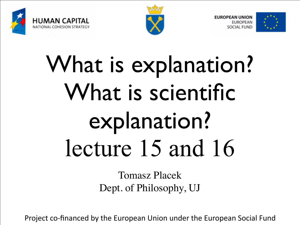





# What is explanation? What is scientific explanation? lecture 15 and 16

Tomasz Placek Dept. of Philosophy, UJ

Project co-financed by the European Union under the European Social Fund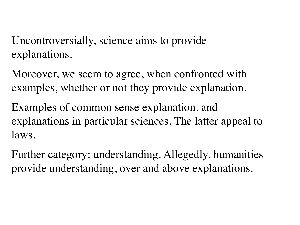Uncontroversially, science aims to provide explanations.

Moreover, we seem to agree, when confronted with examples, whether or not they provide explanation.

Examples of common sense explanation, and explanations in particular sciences. The latter appeal to laws.

Further category: understanding. Allegedly, humanities provide understanding, over and above explanations.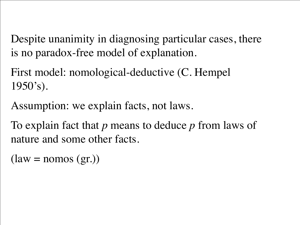Despite unanimity in diagnosing particular cases, there is no paradox-free model of explanation.

First model: nomological-deductive (C. Hempel  $1950's$ ).

Assumption: we explain facts, not laws.

To explain fact that *p* means to deduce *p* from laws of nature and some other facts.

 $(law = nomos (gr.))$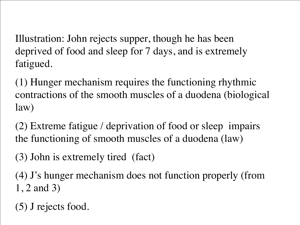Illustration: John rejects supper, though he has been deprived of food and sleep for 7 days, and is extremely fatigued.

(1) Hunger mechanism requires the functioning rhythmic contractions of the smooth muscles of a duodena (biological law)

(2) Extreme fatigue / deprivation of food or sleep impairs the functioning of smooth muscles of a duodena (law)

(3) John is extremely tired (fact)

(4) J's hunger mechanism does not function properly (from 1, 2 and 3)

(5) J rejects food.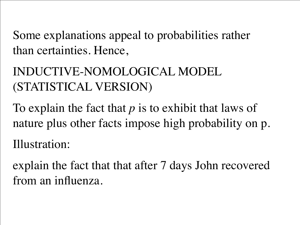Some explanations appeal to probabilities rather than certainties. Hence,

# INDUCTIVE-NOMOLOGICAL MODEL (STATISTICAL VERSION)

To explain the fact that *p* is to exhibit that laws of nature plus other facts impose high probability on p. Illustration:

explain the fact that that after 7 days John recovered from an influenza.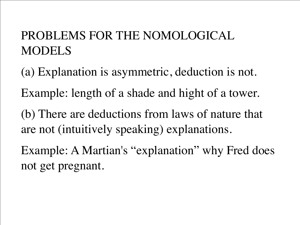# PROBLEMS FOR THE NOMOLOGICAL MODELS

- (a) Explanation is asymmetric, deduction is not. Example: length of a shade and hight of a tower. (b) There are deductions from laws of nature that are not (intuitively speaking) explanations. Example: A Martian's "explanation" why Fred does
- not get pregnant.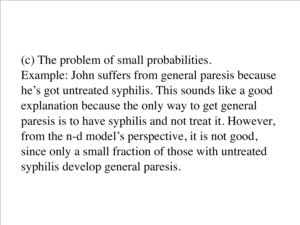(c) The problem of small probabilities. Example: John suffers from general paresis because he's got untreated syphilis. This sounds like a good explanation because the only way to get general paresis is to have syphilis and not treat it. However, from the n-d model's perspective, it is not good, since only a small fraction of those with untreated syphilis develop general paresis.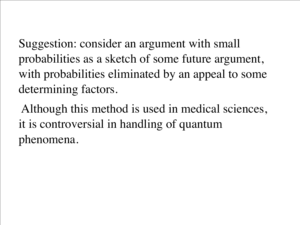Suggestion: consider an argument with small probabilities as a sketch of some future argument, with probabilities eliminated by an appeal to some determining factors.

 Although this method is used in medical sciences, it is controversial in handling of quantum phenomena.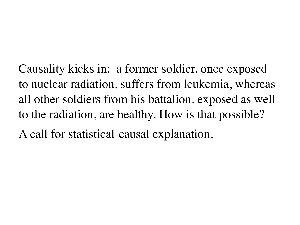Causality kicks in: a former soldier, once exposed to nuclear radiation, suffers from leukemia, whereas all other soldiers from his battalion, exposed as well to the radiation, are healthy. How is that possible? A call for statistical-causal explanation.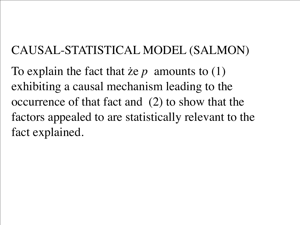### CAUSAL-STATISTICAL MODEL (SALMON)

To explain the fact that że *p* amounts to (1) exhibiting a causal mechanism leading to the occurrence of that fact and (2) to show that the factors appealed to are statistically relevant to the fact explained.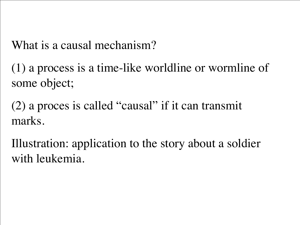What is a causal mechanism?

(1) a process is a time-like worldline or wormline of some object;

(2) a proces is called "causal" if it can transmit marks.

Illustration: application to the story about a soldier with leukemia.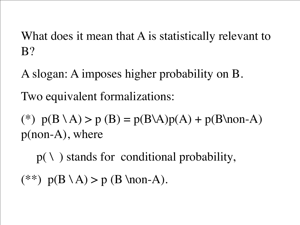What does it mean that A is statistically relevant to B?

A slogan: A imposes higher probability on B. Two equivalent formalizations:

(\*)  $p(B \setminus A) > p(B) = p(B \setminus A)p(A) + p(B \setminus A)$ p(non-A), where

 $p(\lambda)$  stands for conditional probability,  $(**)$  p( $B \ A) > p$  (B \non-A).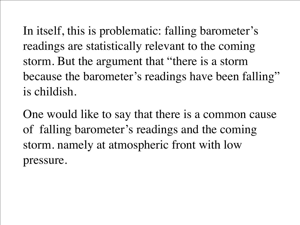In itself, this is problematic: falling barometer's readings are statistically relevant to the coming storm. But the argument that "there is a storm because the barometer's readings have been falling" is childish.

One would like to say that there is a common cause of falling barometer's readings and the coming storm. namely at atmospheric front with low pressure.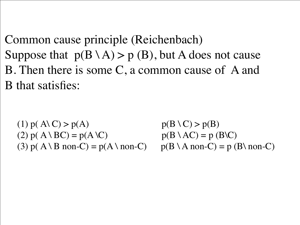Common cause principle (Reichenbach)

Suppose that  $p(B \setminus A) > p(B)$ , but A does not cause B. Then there is some C, a common cause of A and B that satisfies:

(1)  $p(A \cap C) > p(A)$   $p(B \cap C) > p(B)$ (2)  $p(A \setminus BC) = p(A \setminus C)$   $p(B \setminus AC) = p(B \setminus C)$ (3)  $p(A \setminus B \text{ non-}C) = p(A \setminus \text{non-}C)$   $p(B \setminus A \text{ non-}C) = p(B \setminus \text{non-}C)$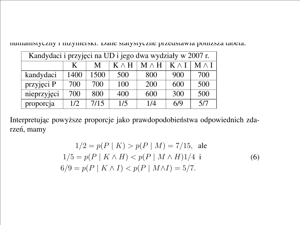numanistyczny i mzynierski. Dane statystyczne przeustawia ponizsza tabela.

statystycznych) nazywane jest paradoksem Simpsona.<sup>28</sup> Rozwazmy dla przyk ˙ ładu

| Kandydaci i przyjęci na UD i jego dwa wydziały w 2007 r. |      |      |              |              |              |              |
|----------------------------------------------------------|------|------|--------------|--------------|--------------|--------------|
|                                                          | K    | M    | $K \wedge H$ | $M \wedge H$ | $K \wedge I$ | $M \wedge I$ |
| kandydaci                                                | 1400 | 1500 | 500          | 800          | 900          | 700          |
| przyjęci P                                               | 700  | 700  | 100          | 200          | 600          | 500          |
| nieprzyjęci                                              | 700  | 800  | 400          | 600          | 300          | 500          |
| proporcja                                                | 1/2  | 7/15 | 1/5          | 1/4          | 6/9          | 5/7          |

Interpretując powyższe proporcje jako prawdopodobieństwa odpowiednich zdarzeń, mamy

w 2007 roku. Bycie kobiet przyczynowym 2007 roku. Bycie kobiet przyczynowym czynnikiem działający przyczynowym<br>Przyczynowym czynnikiem działającynowym czynnikiem działającynowym w 2007 roku. Było przyczynowym w 2007 roku

$$
1/2 = p(P | K) > p(P | M) = 7/15, \text{ ale}
$$
  
\n
$$
1/5 = p(P | K \wedge H) < p(P | M \wedge H) \cdot 1/4 \text{ i}
$$
  
\n
$$
6/9 = p(P | K \wedge I) < p(P | M \wedge I) = 5/7.
$$
\n(6)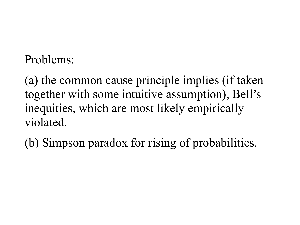# Problems:

(a) the common cause principle implies (if taken together with some intuitive assumption), Bell's inequities, which are most likely empirically violated.

(b) Simpson paradox for rising of probabilities.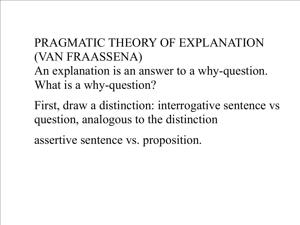# PRAGMATIC THEORY OF EXPLANATION (VAN FRAASSENA)

An explanation is an answer to a why-question. What is a why-question?

First, draw a distinction: interrogative sentence vs question, analogous to the distinction

assertive sentence vs. proposition.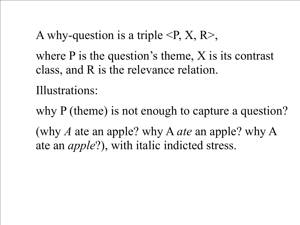A why-question is a triple  $\langle P, X, R \rangle$ , where P is the question's theme, X is its contrast class, and R is the relevance relation.

Illustrations:

why P (theme) is not enough to capture a question? (why *A* ate an apple? why A *ate* an apple? why A ate an *apple*?), with italic indicted stress.